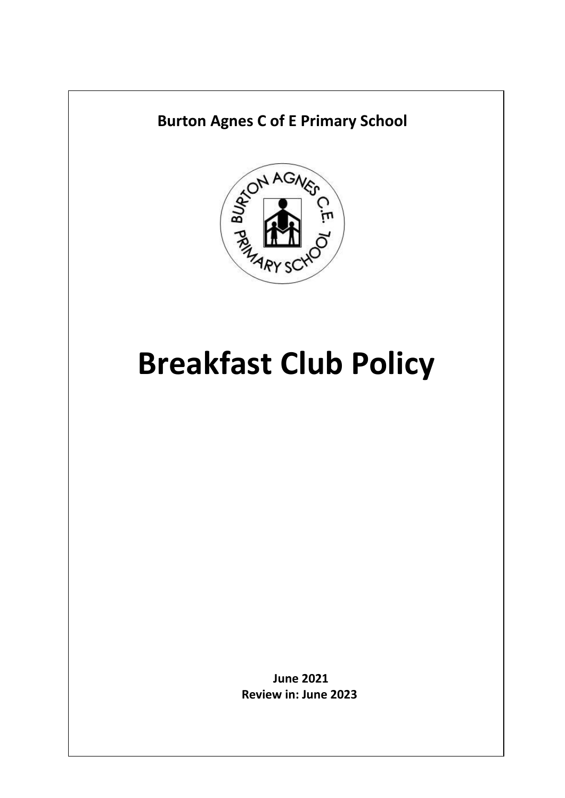

# **Breakfast Club Policy**

**June 2021 Review in: June 2023**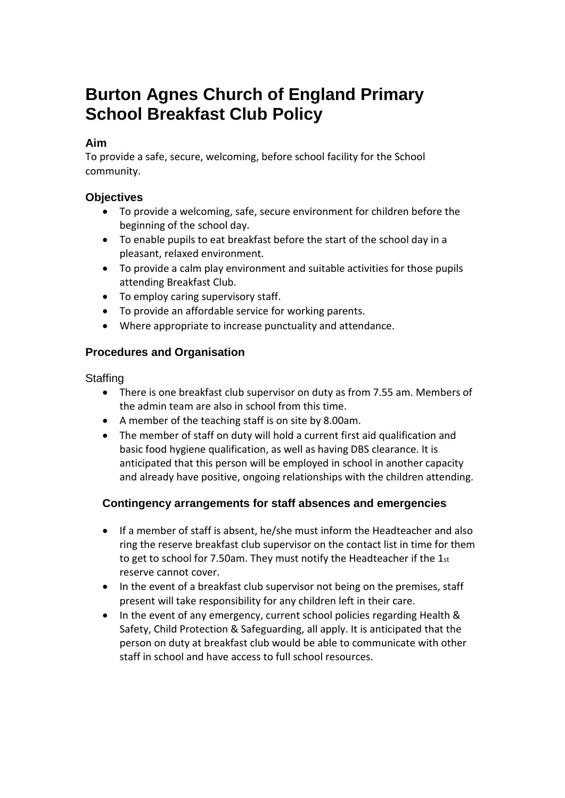## **Burton Agnes Church of England Primary School Breakfast Club Policy**

#### **Aim**

To provide a safe, secure, welcoming, before school facility for the School community.

#### **Objectives**

- To provide a welcoming, safe, secure environment for children before the beginning of the school day.
- To enable pupils to eat breakfast before the start of the school day in a pleasant, relaxed environment.
- To provide a calm play environment and suitable activities for those pupils attending Breakfast Club.
- To employ caring supervisory staff.
- To provide an affordable service for working parents.
- Where appropriate to increase punctuality and attendance.

### **Procedures and Organisation**

**Staffing** 

- There is one breakfast club supervisor on duty as from 7.55 am. Members of the admin team are also in school from this time.
- A member of the teaching staff is on site by 8.00am.
- The member of staff on duty will hold a current first aid qualification and basic food hygiene qualification, as well as having DBS clearance. It is anticipated that this person will be employed in school in another capacity and already have positive, ongoing relationships with the children attending.

#### **Contingency arrangements for staff absences and emergencies**

- If a member of staff is absent, he/she must inform the Headteacher and also ring the reserve breakfast club supervisor on the contact list in time for them to get to school for 7.50am. They must notify the Headteacher if the  $1_{st}$ reserve cannot cover.
- In the event of a breakfast club supervisor not being on the premises, staff present will take responsibility for any children left in their care.
- In the event of any emergency, current school policies regarding Health & Safety, Child Protection & Safeguarding, all apply. It is anticipated that the person on duty at breakfast club would be able to communicate with other staff in school and have access to full school resources.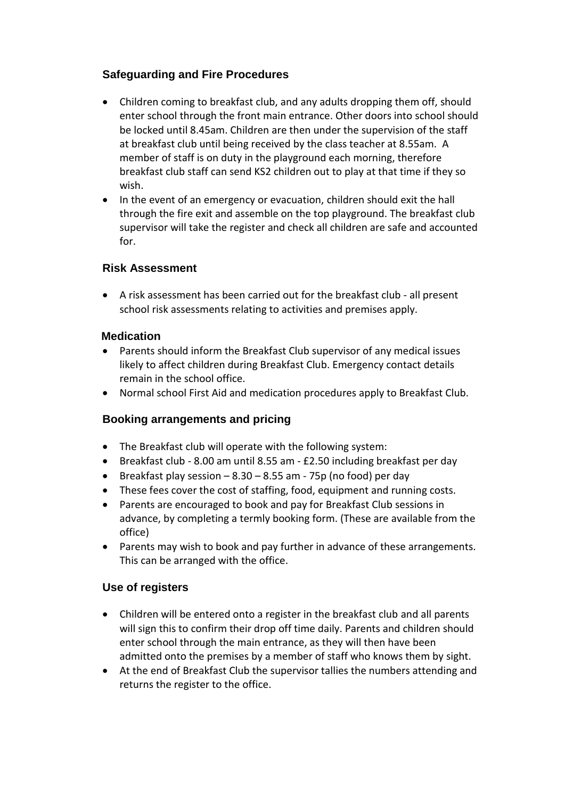#### **Safeguarding and Fire Procedures**

- Children coming to breakfast club, and any adults dropping them off, should enter school through the front main entrance. Other doors into school should be locked until 8.45am. Children are then under the supervision of the staff at breakfast club until being received by the class teacher at 8.55am. A member of staff is on duty in the playground each morning, therefore breakfast club staff can send KS2 children out to play at that time if they so wish.
- In the event of an emergency or evacuation, children should exit the hall through the fire exit and assemble on the top playground. The breakfast club supervisor will take the register and check all children are safe and accounted for.

#### **Risk Assessment**

 A risk assessment has been carried out for the breakfast club - all present school risk assessments relating to activities and premises apply.

#### **Medication**

- Parents should inform the Breakfast Club supervisor of any medical issues likely to affect children during Breakfast Club. Emergency contact details remain in the school office.
- Normal school First Aid and medication procedures apply to Breakfast Club.

### **Booking arrangements and pricing**

- The Breakfast club will operate with the following system:
- Breakfast club 8.00 am until 8.55 am £2.50 including breakfast per day
- **•** Breakfast play session  $-8.30 8.55$  am 75p (no food) per day
- These fees cover the cost of staffing, food, equipment and running costs.
- Parents are encouraged to book and pay for Breakfast Club sessions in advance, by completing a termly booking form. (These are available from the office)
- Parents may wish to book and pay further in advance of these arrangements. This can be arranged with the office.

### **Use of registers**

- Children will be entered onto a register in the breakfast club and all parents will sign this to confirm their drop off time daily. Parents and children should enter school through the main entrance, as they will then have been admitted onto the premises by a member of staff who knows them by sight.
- At the end of Breakfast Club the supervisor tallies the numbers attending and returns the register to the office.